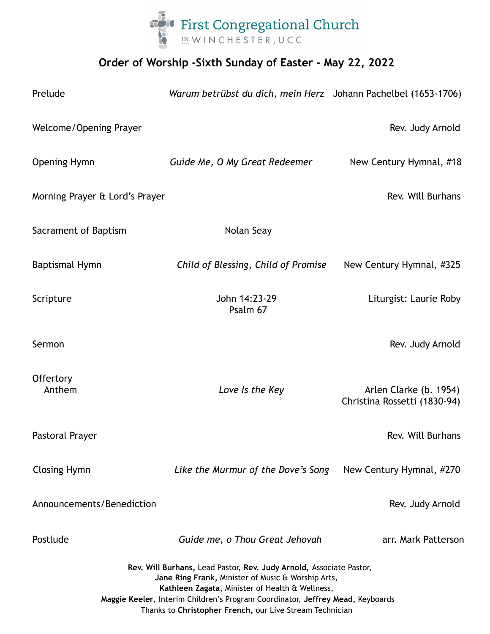

## **Order of Worship -Sixth Sunday of Easter - May 22, 2022**

| Prelude                                                                                                                                                                                                                                                                                                                    | Warum betrübst du dich, mein Herz Johann Pachelbel (1653-1706) |                                                        |
|----------------------------------------------------------------------------------------------------------------------------------------------------------------------------------------------------------------------------------------------------------------------------------------------------------------------------|----------------------------------------------------------------|--------------------------------------------------------|
| Welcome/Opening Prayer                                                                                                                                                                                                                                                                                                     |                                                                | Rev. Judy Arnold                                       |
| Opening Hymn                                                                                                                                                                                                                                                                                                               | Guide Me, O My Great Redeemer                                  | New Century Hymnal, #18                                |
| Morning Prayer & Lord's Prayer                                                                                                                                                                                                                                                                                             |                                                                | Rev. Will Burhans                                      |
| Sacrament of Baptism                                                                                                                                                                                                                                                                                                       | Nolan Seay                                                     |                                                        |
| <b>Baptismal Hymn</b>                                                                                                                                                                                                                                                                                                      | Child of Blessing, Child of Promise                            | New Century Hymnal, #325                               |
| Scripture                                                                                                                                                                                                                                                                                                                  | John 14:23-29<br>Psalm 67                                      | Liturgist: Laurie Roby                                 |
| Sermon                                                                                                                                                                                                                                                                                                                     |                                                                | Rev. Judy Arnold                                       |
| Offertory<br>Anthem                                                                                                                                                                                                                                                                                                        | Love Is the Key                                                | Arlen Clarke (b. 1954)<br>Christina Rossetti (1830-94) |
| Pastoral Prayer                                                                                                                                                                                                                                                                                                            |                                                                | Rev. Will Burhans                                      |
| <b>Closing Hymn</b>                                                                                                                                                                                                                                                                                                        | Like the Murmur of the Dove's Song                             | New Century Hymnal, #270                               |
| Announcements/Benediction                                                                                                                                                                                                                                                                                                  |                                                                | Rev. Judy Arnold                                       |
| Postlude                                                                                                                                                                                                                                                                                                                   | Guide me, o Thou Great Jehovah                                 | arr. Mark Patterson                                    |
| Rev. Will Burhans, Lead Pastor, Rev. Judy Arnold, Associate Pastor,<br>Jane Ring Frank, Minister of Music & Worship Arts,<br>Kathleen Zagata, Minister of Health & Wellness,<br>Maggie Keeler, Interim Children's Program Coordinator, Jeffrey Mead, Keyboards<br>Thanks to Christopher French, our Live Stream Technician |                                                                |                                                        |